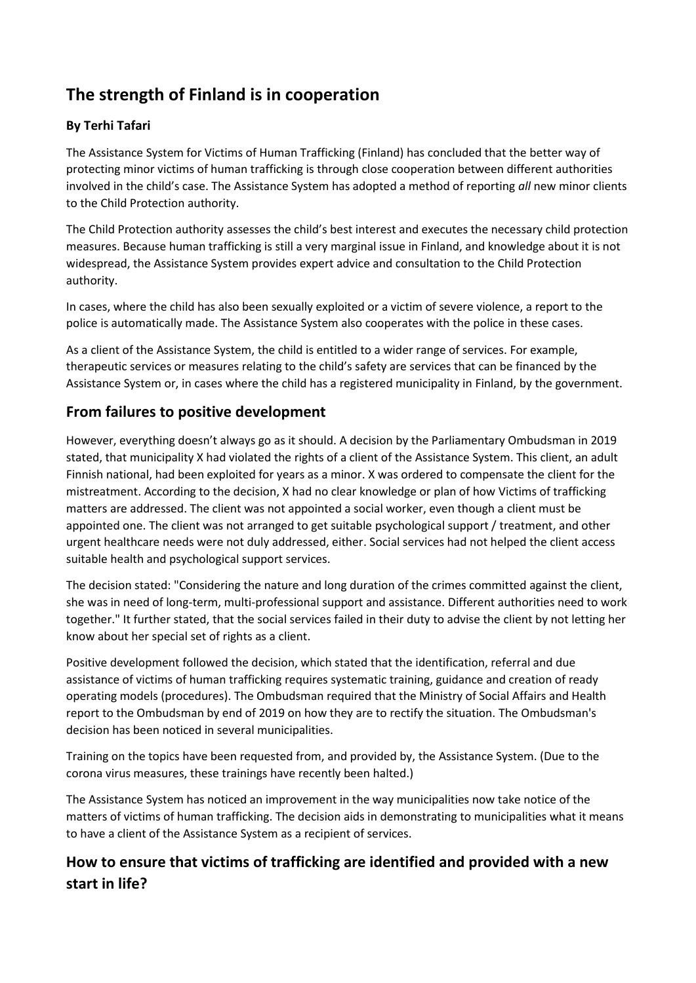# **The strength of Finland is in cooperation**

### **By Terhi Tafari**

The Assistance System for Victims of Human Trafficking (Finland) has concluded that the better way of protecting minor victims of human trafficking is through close cooperation between different authorities involved in the child's case. The Assistance System has adopted a method of reporting *all* new minor clients to the Child Protection authority.

The Child Protection authority assesses the child's best interest and executes the necessary child protection measures. Because human trafficking is still a very marginal issue in Finland, and knowledge about it is not widespread, the Assistance System provides expert advice and consultation to the Child Protection authority.

In cases, where the child has also been sexually exploited or a victim of severe violence, a report to the police is automatically made. The Assistance System also cooperates with the police in these cases.

As a client of the Assistance System, the child is entitled to a wider range of services. For example, therapeutic services or measures relating to the child's safety are services that can be financed by the Assistance System or, in cases where the child has a registered municipality in Finland, by the government.

# **From failures to positive development**

However, everything doesn't always go as it should. A decision by the Parliamentary Ombudsman in 2019 stated, that municipality X had violated the rights of a client of the Assistance System. This client, an adult Finnish national, had been exploited for years as a minor. X was ordered to compensate the client for the mistreatment. According to the decision, X had no clear knowledge or plan of how Victims of trafficking matters are addressed. The client was not appointed a social worker, even though a client must be appointed one. The client was not arranged to get suitable psychological support / treatment, and other urgent healthcare needs were not duly addressed, either. Social services had not helped the client access suitable health and psychological support services.

The decision stated: "Considering the nature and long duration of the crimes committed against the client, she was in need of long-term, multi-professional support and assistance. Different authorities need to work together." It further stated, that the social services failed in their duty to advise the client by not letting her know about her special set of rights as a client.

Positive development followed the decision, which stated that the identification, referral and due assistance of victims of human trafficking requires systematic training, guidance and creation of ready operating models (procedures). The Ombudsman required that the Ministry of Social Affairs and Health report to the Ombudsman by end of 2019 on how they are to rectify the situation. The Ombudsman's decision has been noticed in several municipalities.

Training on the topics have been requested from, and provided by, the Assistance System. (Due to the corona virus measures, these trainings have recently been halted.)

The Assistance System has noticed an improvement in the way municipalities now take notice of the matters of victims of human trafficking. The decision aids in demonstrating to municipalities what it means to have a client of the Assistance System as a recipient of services.

# **How to ensure that victims of trafficking are identified and provided with a new start in life?**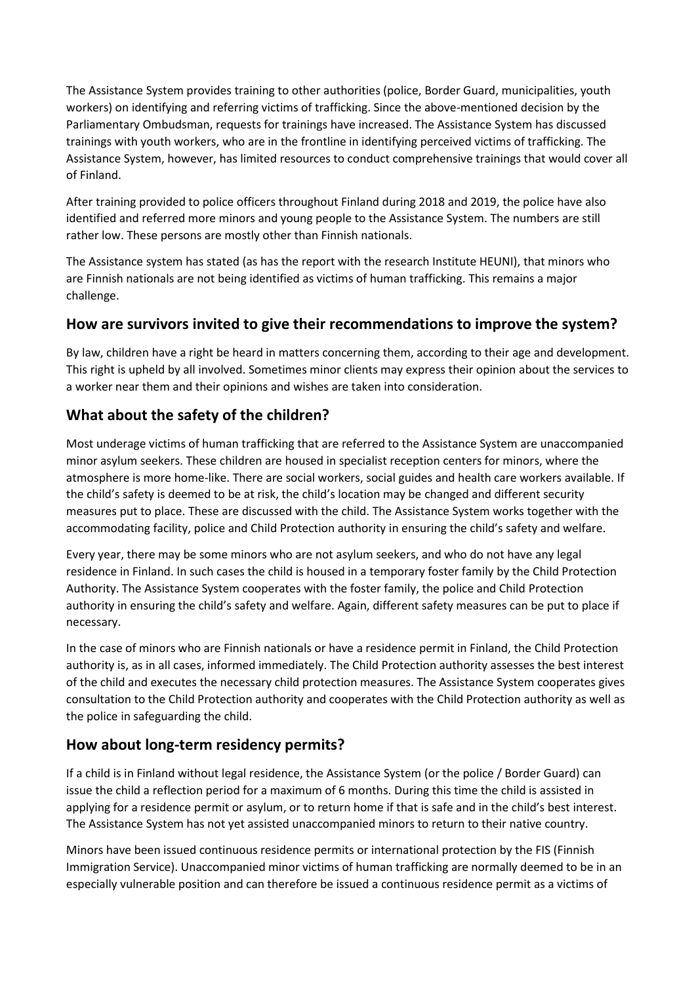The Assistance System provides training to other authorities (police, Border Guard, municipalities, youth workers) on identifying and referring victims of trafficking. Since the above-mentioned decision by the Parliamentary Ombudsman, requests for trainings have increased. The Assistance System has discussed trainings with youth workers, who are in the frontline in identifying perceived victims of trafficking. The Assistance System, however, has limited resources to conduct comprehensive trainings that would cover all of Finland.

After training provided to police officers throughout Finland during 2018 and 2019, the police have also identified and referred more minors and young people to the Assistance System. The numbers are still rather low. These persons are mostly other than Finnish nationals.

The Assistance system has stated (as has the report with the research Institute HEUNI), that minors who are Finnish nationals are not being identified as victims of human trafficking. This remains a major challenge.

#### **How are survivors invited to give their recommendations to improve the system?**

By law, children have a right be heard in matters concerning them, according to their age and development. This right is upheld by all involved. Sometimes minor clients may express their opinion about the services to a worker near them and their opinions and wishes are taken into consideration.

# **What about the safety of the children?**

Most underage victims of human trafficking that are referred to the Assistance System are unaccompanied minor asylum seekers. These children are housed in specialist reception centers for minors, where the atmosphere is more home-like. There are social workers, social guides and health care workers available. If the child's safety is deemed to be at risk, the child's location may be changed and different security measures put to place. These are discussed with the child. The Assistance System works together with the accommodating facility, police and Child Protection authority in ensuring the child's safety and welfare.

Every year, there may be some minors who are not asylum seekers, and who do not have any legal residence in Finland. In such cases the child is housed in a temporary foster family by the Child Protection Authority. The Assistance System cooperates with the foster family, the police and Child Protection authority in ensuring the child's safety and welfare. Again, different safety measures can be put to place if necessary.

In the case of minors who are Finnish nationals or have a residence permit in Finland, the Child Protection authority is, as in all cases, informed immediately. The Child Protection authority assesses the best interest of the child and executes the necessary child protection measures. The Assistance System cooperates gives consultation to the Child Protection authority and cooperates with the Child Protection authority as well as the police in safeguarding the child.

### **How about long-term residency permits?**

If a child is in Finland without legal residence, the Assistance System (or the police / Border Guard) can issue the child a reflection period for a maximum of 6 months. During this time the child is assisted in applying for a residence permit or asylum, or to return home if that is safe and in the child's best interest. The Assistance System has not yet assisted unaccompanied minors to return to their native country.

Minors have been issued continuous residence permits or international protection by the FIS (Finnish Immigration Service). Unaccompanied minor victims of human trafficking are normally deemed to be in an especially vulnerable position and can therefore be issued a continuous residence permit as a victims of